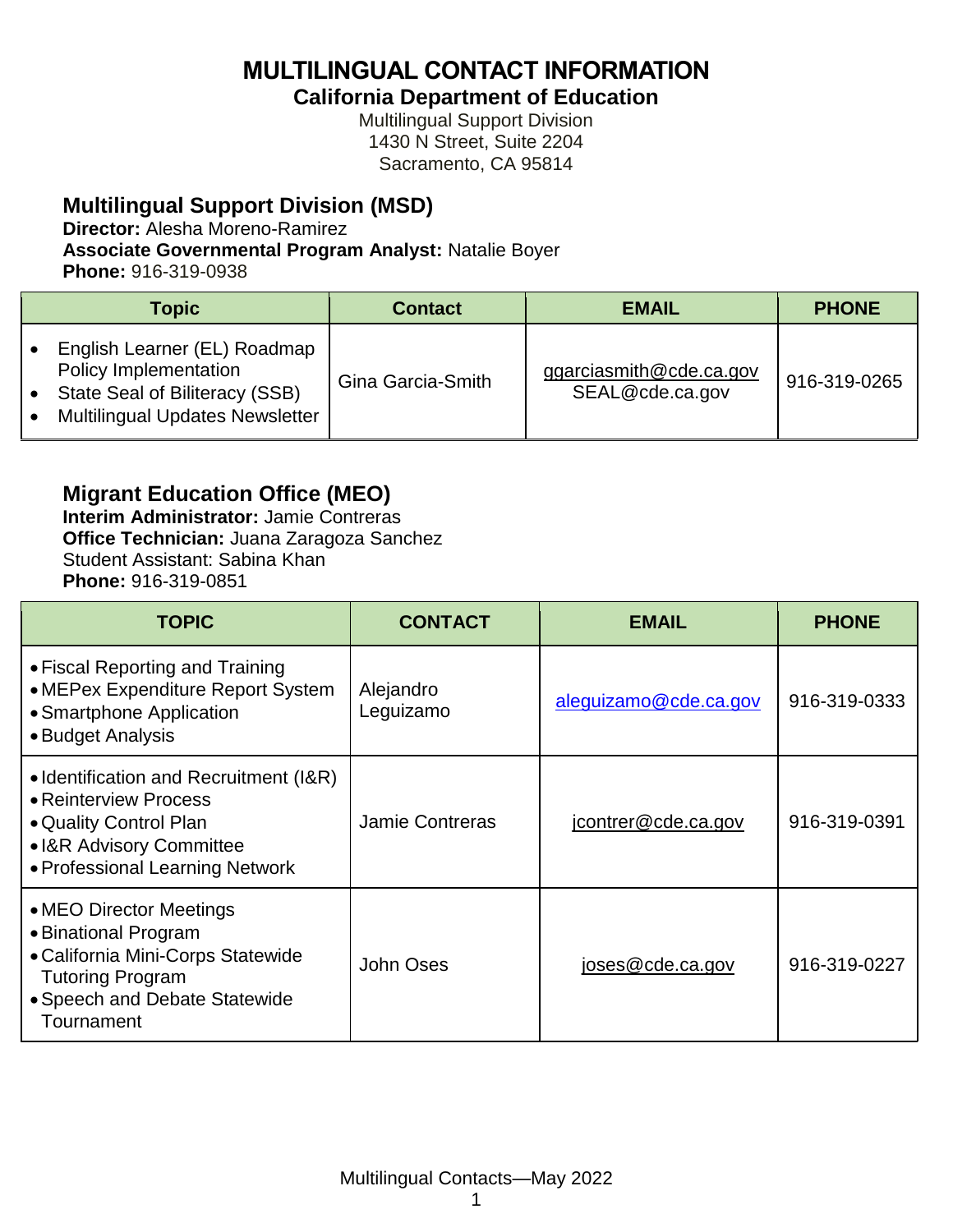**MULTILINGUAL CONTACT INFORMATION**

**California Department of Education**

Multilingual Support Division 1430 N Street, Suite 2204 Sacramento, CA 95814

#### **Multilingual Support Division (MSD)**

**Director:** Alesha Moreno-Ramirez

**Associate Governmental Program Analyst:** Natalie Boyer

**Phone:** 916-319-0938

| <b>Topic</b>                                                                                                                      | <b>Contact</b>    | <b>EMAIL</b>                               | <b>PHONE</b> |
|-----------------------------------------------------------------------------------------------------------------------------------|-------------------|--------------------------------------------|--------------|
| English Learner (EL) Roadmap<br>Policy Implementation<br>State Seal of Biliteracy (SSB)<br><b>Multilingual Updates Newsletter</b> | Gina Garcia-Smith | ggarciasmith@cde.ca.gov<br>SEAL@cde.ca.gov | 916-319-0265 |

## **Migrant Education Office (MEO)**

**Interim Administrator:** Jamie Contreras **Office Technician:** Juana Zaragoza Sanchez Student Assistant: Sabina Khan **Phone:** 916-319-0851

| <b>TOPIC</b>                                                                                                                                                   | <b>CONTACT</b>         | <b>EMAIL</b>          | <b>PHONE</b> |
|----------------------------------------------------------------------------------------------------------------------------------------------------------------|------------------------|-----------------------|--------------|
| • Fiscal Reporting and Training<br>• MEPex Expenditure Report System<br>• Smartphone Application<br>• Budget Analysis                                          | Alejandro<br>Leguizamo | aleguizamo@cde.ca.gov | 916-319-0333 |
| • Identification and Recruitment (I&R)<br>• Reinterview Process<br>• Quality Control Plan<br>• I&R Advisory Committee<br>• Professional Learning Network       | <b>Jamie Contreras</b> | jcontrer@cde.ca.gov   | 916-319-0391 |
| • MEO Director Meetings<br>• Binational Program<br>• California Mini-Corps Statewide<br><b>Tutoring Program</b><br>• Speech and Debate Statewide<br>Tournament | John Oses              | joses@cde.ca.gov      | 916-319-0227 |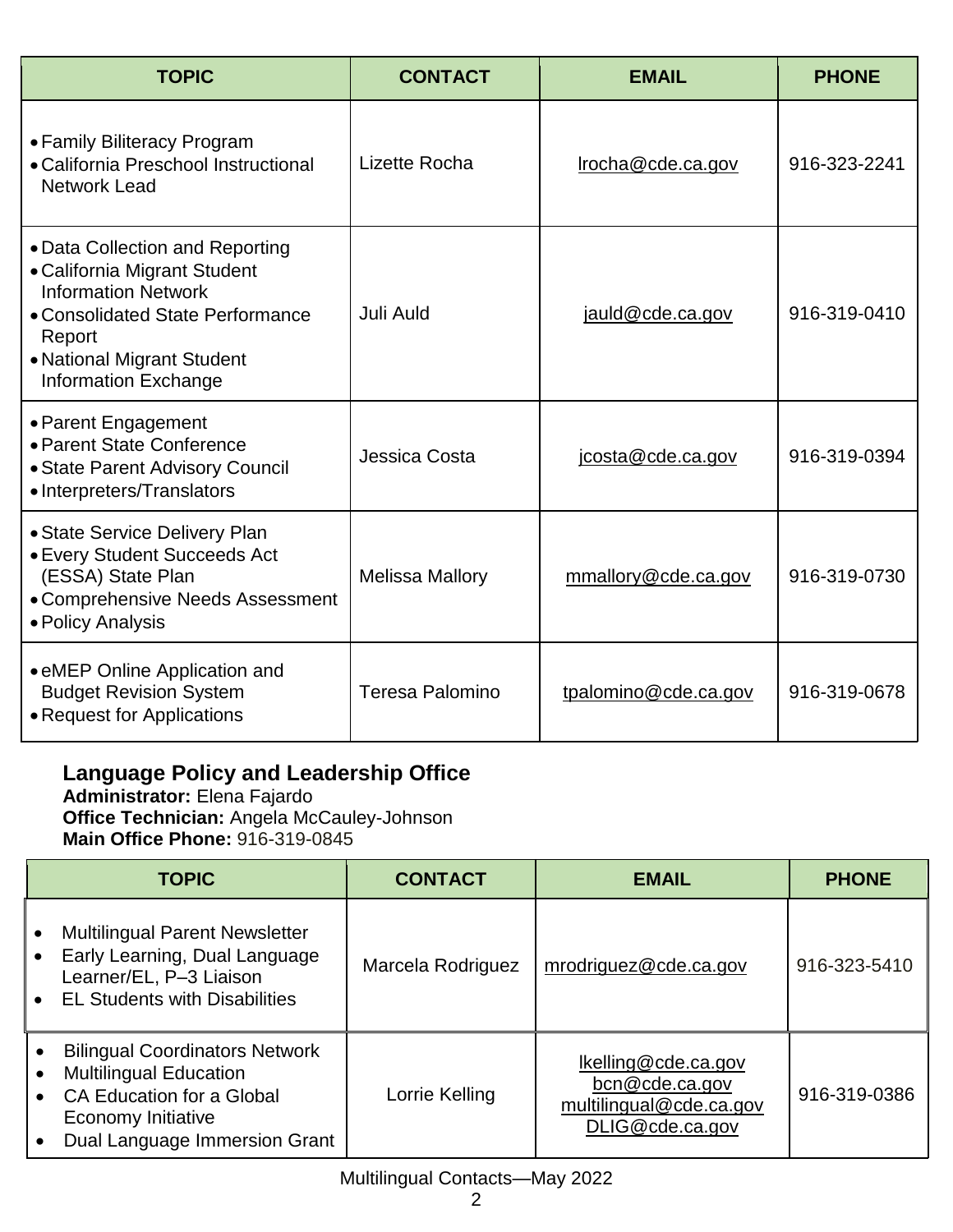| <b>TOPIC</b>                                                                                                                                                                                             | <b>CONTACT</b>         | <b>EMAIL</b>         | <b>PHONE</b> |
|----------------------------------------------------------------------------------------------------------------------------------------------------------------------------------------------------------|------------------------|----------------------|--------------|
| • Family Biliteracy Program<br>• California Preschool Instructional<br><b>Network Lead</b>                                                                                                               | Lizette Rocha          | Irocha@cde.ca.gov    | 916-323-2241 |
| • Data Collection and Reporting<br>• California Migrant Student<br><b>Information Network</b><br>• Consolidated State Performance<br>Report<br>• National Migrant Student<br><b>Information Exchange</b> | Juli Auld              | jauld@cde.ca.gov     | 916-319-0410 |
| • Parent Engagement<br>• Parent State Conference<br>• State Parent Advisory Council<br>• Interpreters/Translators                                                                                        | Jessica Costa          | icosta@cde.ca.gov    | 916-319-0394 |
| • State Service Delivery Plan<br>• Every Student Succeeds Act<br>(ESSA) State Plan<br>• Comprehensive Needs Assessment<br>• Policy Analysis                                                              | <b>Melissa Mallory</b> | mmallory@cde.ca.gov  | 916-319-0730 |
| • eMEP Online Application and<br><b>Budget Revision System</b><br>• Request for Applications                                                                                                             | Teresa Palomino        | tpalomino@cde.ca.gov | 916-319-0678 |

# **Language Policy and Leadership Office**

**Administrator:** Elena Fajardo **Office Technician:** Angela McCauley-Johnson **Main Office Phone:** 916-319-0845

|                                     | <b>TOPIC</b>                                                                                                                                                             | <b>CONTACT</b>    | <b>EMAIL</b>                                                                        | <b>PHONE</b> |
|-------------------------------------|--------------------------------------------------------------------------------------------------------------------------------------------------------------------------|-------------------|-------------------------------------------------------------------------------------|--------------|
|                                     | <b>Multilingual Parent Newsletter</b><br>Early Learning, Dual Language<br>Learner/EL, P-3 Liaison<br><b>EL Students with Disabilities</b>                                | Marcela Rodriguez | mrodriguez@cde.ca.gov                                                               | 916-323-5410 |
| $\bullet$<br>$\bullet$<br>$\bullet$ | <b>Bilingual Coordinators Network</b><br><b>Multilingual Education</b><br><b>CA Education for a Global</b><br><b>Economy Initiative</b><br>Dual Language Immersion Grant | Lorrie Kelling    | lkelling@cde.ca.gov<br>bcn@cde.ca.gov<br>multilingual@cde.ca.gov<br>DLIG@cde.ca.gov | 916-319-0386 |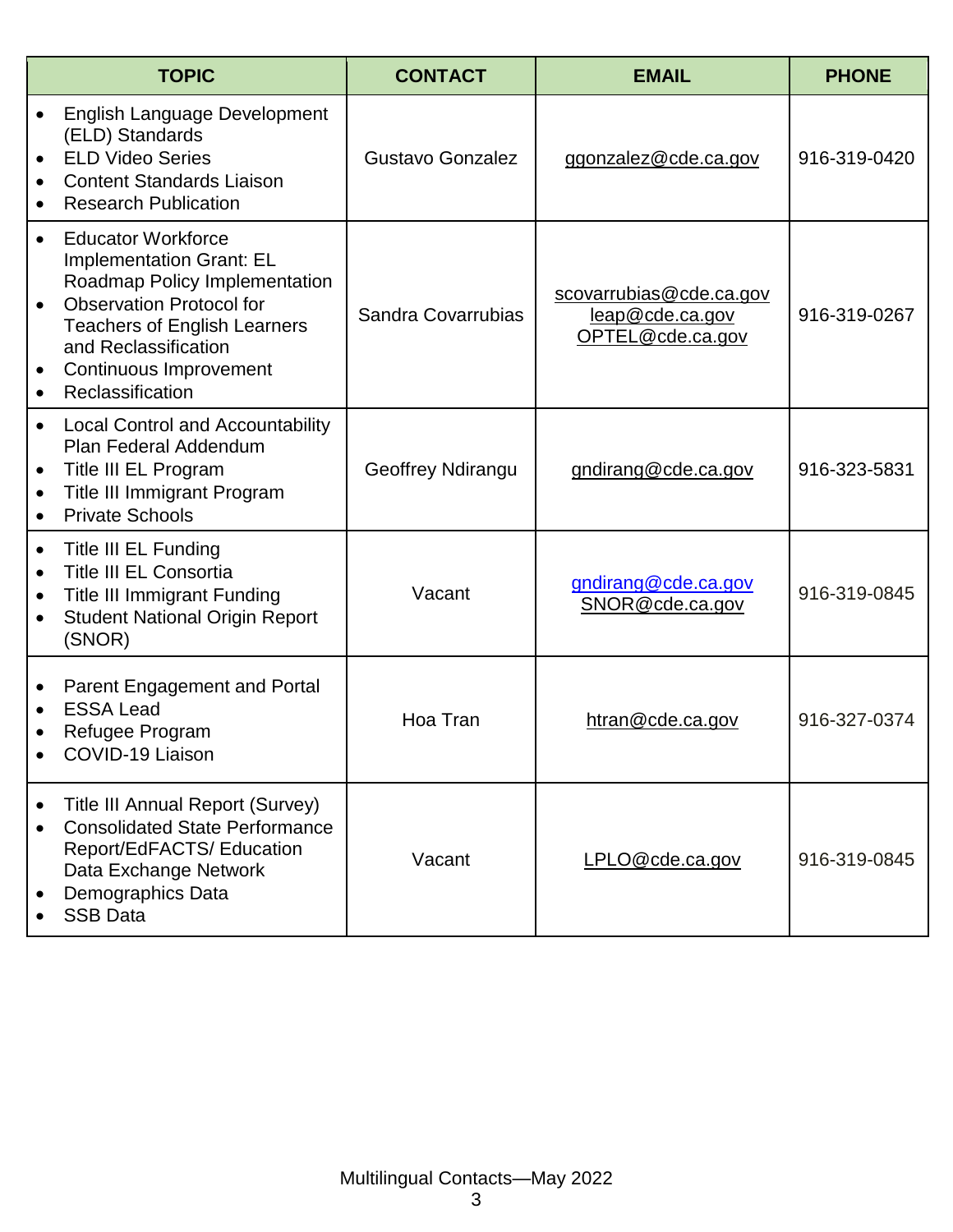|                                                  | <b>TOPIC</b>                                                                                                                                                                                                                                  | <b>CONTACT</b>     | <b>EMAIL</b>                                                   | <b>PHONE</b> |
|--------------------------------------------------|-----------------------------------------------------------------------------------------------------------------------------------------------------------------------------------------------------------------------------------------------|--------------------|----------------------------------------------------------------|--------------|
| $\bullet$                                        | English Language Development<br>(ELD) Standards<br><b>ELD Video Series</b><br><b>Content Standards Liaison</b><br><b>Research Publication</b>                                                                                                 | Gustavo Gonzalez   | ggonzalez@cde.ca.gov                                           | 916-319-0420 |
|                                                  | <b>Educator Workforce</b><br><b>Implementation Grant: EL</b><br>Roadmap Policy Implementation<br><b>Observation Protocol for</b><br><b>Teachers of English Learners</b><br>and Reclassification<br>Continuous Improvement<br>Reclassification | Sandra Covarrubias | scovarrubias@cde.ca.gov<br>leap@cde.ca.gov<br>OPTEL@cde.ca.gov | 916-319-0267 |
| $\bullet$<br>$\bullet$                           | <b>Local Control and Accountability</b><br>Plan Federal Addendum<br>Title III EL Program<br>Title III Immigrant Program<br><b>Private Schools</b>                                                                                             | Geoffrey Ndirangu  | gndirang@cde.ca.gov                                            | 916-323-5831 |
| $\bullet$<br>$\bullet$<br>$\bullet$<br>$\bullet$ | <b>Title III EL Funding</b><br><b>Title III EL Consortia</b><br><b>Title III Immigrant Funding</b><br><b>Student National Origin Report</b><br>(SNOR)                                                                                         | Vacant             | gndirang@cde.ca.gov<br>SNOR@cde.ca.gov                         | 916-319-0845 |
|                                                  | Parent Engagement and Portal<br><b>ESSA Lead</b><br>Refugee Program<br>COVID-19 Liaison                                                                                                                                                       | Hoa Tran           | htran@cde.ca.gov                                               | 916-327-0374 |
| $\bullet$                                        | Title III Annual Report (Survey)<br><b>Consolidated State Performance</b><br>Report/EdFACTS/ Education<br>Data Exchange Network<br>Demographics Data<br><b>SSB Data</b>                                                                       | Vacant             | LPLO@cde.ca.gov                                                | 916-319-0845 |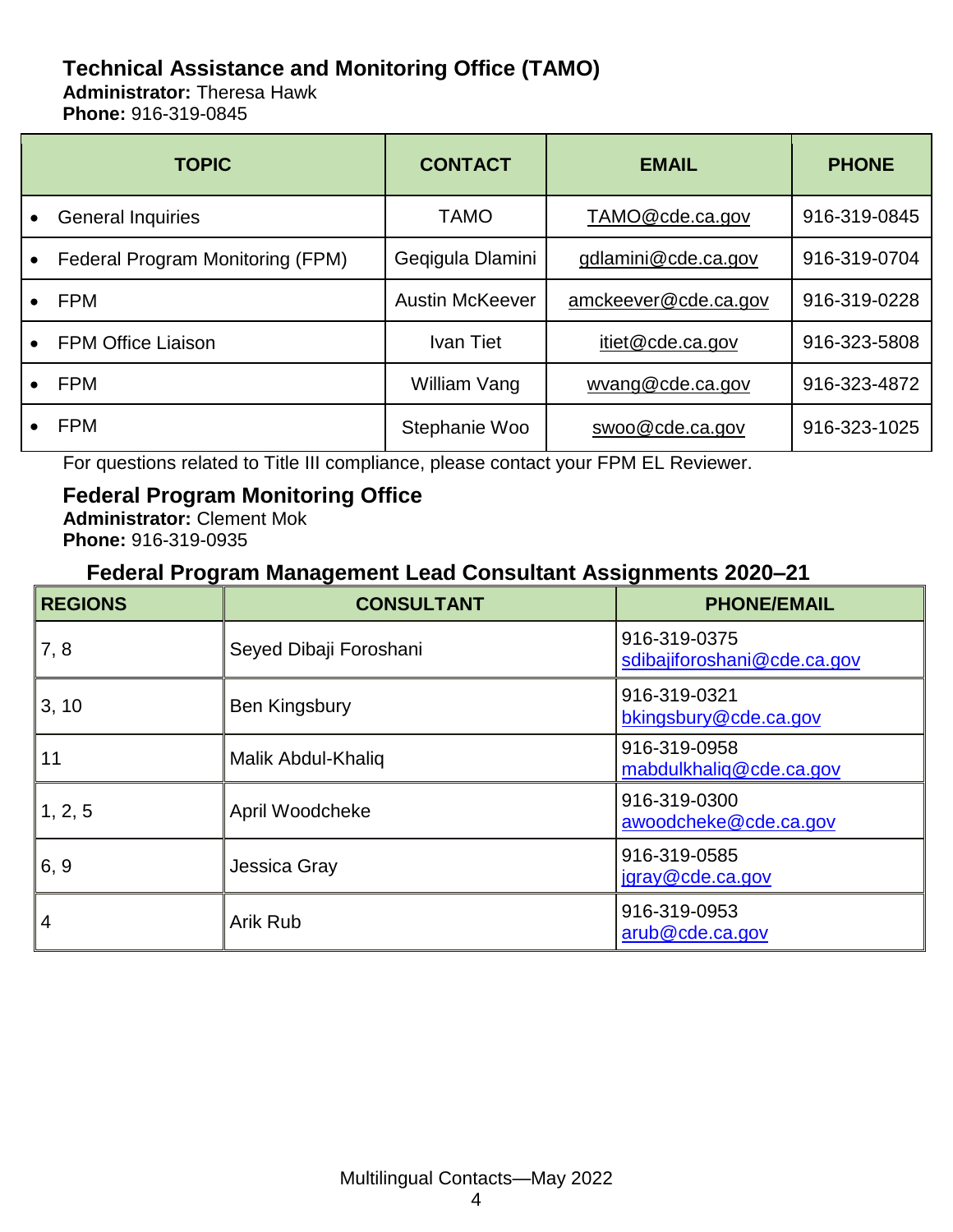# **Technical Assistance and Monitoring Office (TAMO)**

**Administrator:** Theresa Hawk **Phone:** 916-319-0845

| <b>TOPIC</b>                     | <b>CONTACT</b>         | <b>EMAIL</b>         | <b>PHONE</b> |
|----------------------------------|------------------------|----------------------|--------------|
| <b>General Inquiries</b>         | <b>TAMO</b>            | TAMO@cde.ca.gov      | 916-319-0845 |
| Federal Program Monitoring (FPM) | Geqigula Dlamini       | gdlamini@cde.ca.gov  | 916-319-0704 |
| <b>FPM</b>                       | <b>Austin McKeever</b> | amckeever@cde.ca.gov | 916-319-0228 |
| <b>FPM Office Liaison</b>        | Ivan Tiet              | itiet@cde.ca.gov     | 916-323-5808 |
| <b>FPM</b>                       | William Vang           | wyang@cde.ca.gov     | 916-323-4872 |
| <b>FPM</b>                       | Stephanie Woo          | swoo@cde.ca.gov      | 916-323-1025 |

For questions related to Title III compliance, please contact your FPM EL Reviewer.

#### **Federal Program Monitoring Office**

**Administrator:** Clement Mok **Phone:** 916-319-0935

#### **Federal Program Management Lead Consultant Assignments 2020–21**

| <b>REGIONS</b> | <b>CONSULTANT</b>      | <b>PHONE/EMAIL</b>                          |
|----------------|------------------------|---------------------------------------------|
| 7,8            | Seyed Dibaji Foroshani | 916-319-0375<br>sdibajiforoshani@cde.ca.gov |
| 3, 10          | Ben Kingsbury          | 916-319-0321<br>bkingsbury@cde.ca.gov       |
| 11             | Malik Abdul-Khaliq     | 916-319-0958<br>mabdulkhaliq@cde.ca.gov     |
| 1, 2, 5        | April Woodcheke        | 916-319-0300<br>awoodcheke@cde.ca.gov       |
| 6, 9           | Jessica Gray           | 916-319-0585<br>jgray@cde.ca.gov            |
| 4              | Arik Rub               | 916-319-0953<br>arub@cde.ca.gov             |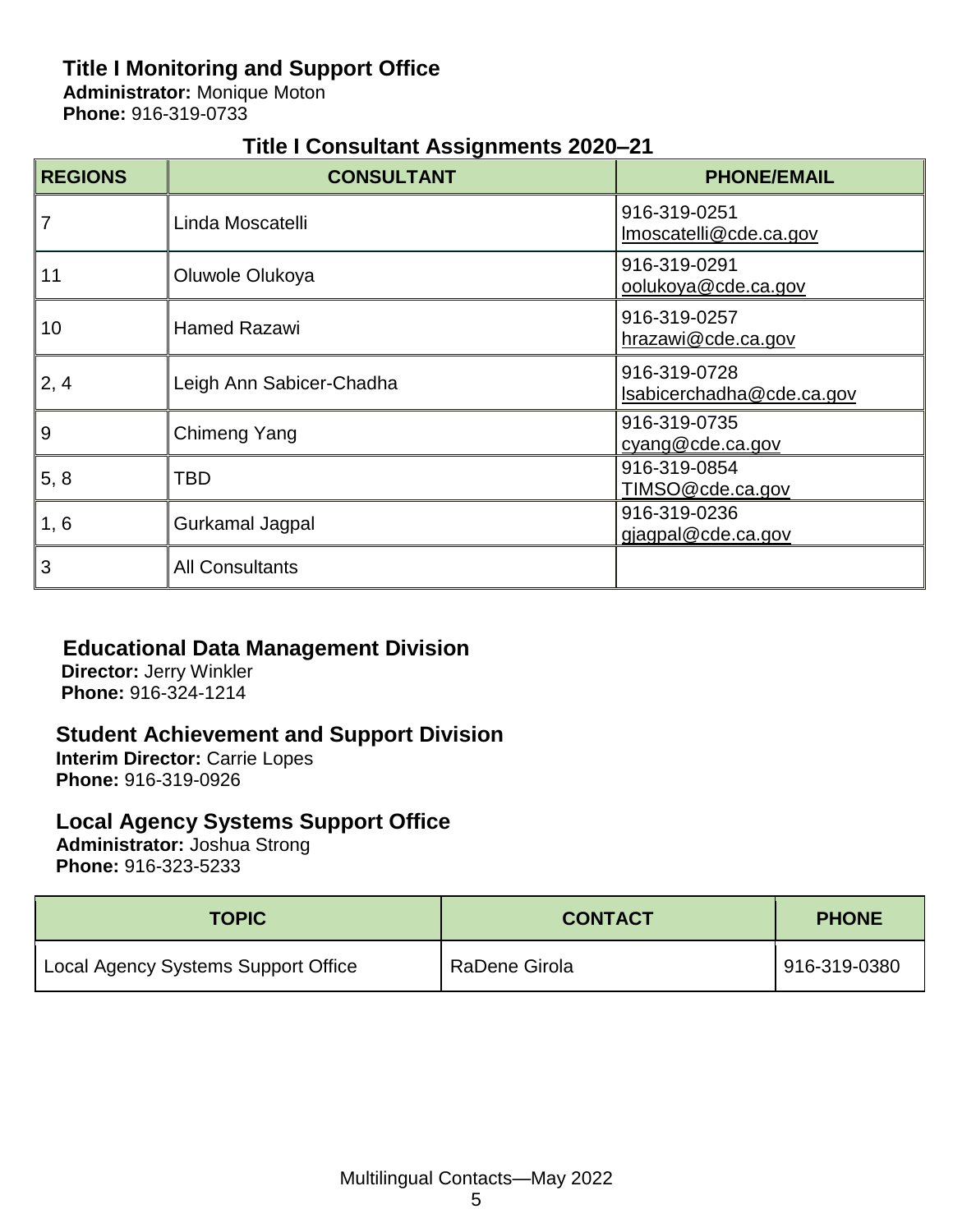# **Title I Monitoring and Support Office**

**Administrator:** Monique Moton **Phone:** 916-319-0733

## **Title I Consultant Assignments 2020–21**

| <b>REGIONS</b> | <b>CONSULTANT</b>        | <b>PHONE/EMAIL</b>                        |
|----------------|--------------------------|-------------------------------------------|
| 7              | Linda Moscatelli         | 916-319-0251<br>Imoscatelli@cde.ca.gov    |
| 11             | Oluwole Olukoya          | 916-319-0291<br>oolukoya@cde.ca.gov       |
| 10             | <b>Hamed Razawi</b>      | 916-319-0257<br>hrazawi@cde.ca.gov        |
| 2, 4           | Leigh Ann Sabicer-Chadha | 916-319-0728<br>Isabicerchadha@cde.ca.gov |
| $9$            | Chimeng Yang             | 916-319-0735<br>cyang@cde.ca.gov          |
| 5, 8           | TBD                      | 916-319-0854<br>TIMSO@cde.ca.gov          |
| 1, 6           | Gurkamal Jagpal          | 916-319-0236<br>gjagpal@cde.ca.gov        |
| 3              | <b>All Consultants</b>   |                                           |

#### **Educational Data Management Division**

**Director:** Jerry Winkler **Phone:** 916-324-1214

#### **Student Achievement and Support Division**

**Interim Director:** Carrie Lopes **Phone:** 916-319-0926

# **Local Agency Systems Support Office**

**Administrator:** Joshua Strong **Phone:** 916-323-5233

| <b>TOPIC</b>                        | <b>CONTACT</b> | <b>PHONE</b> |
|-------------------------------------|----------------|--------------|
| Local Agency Systems Support Office | RaDene Girola  | 916-319-0380 |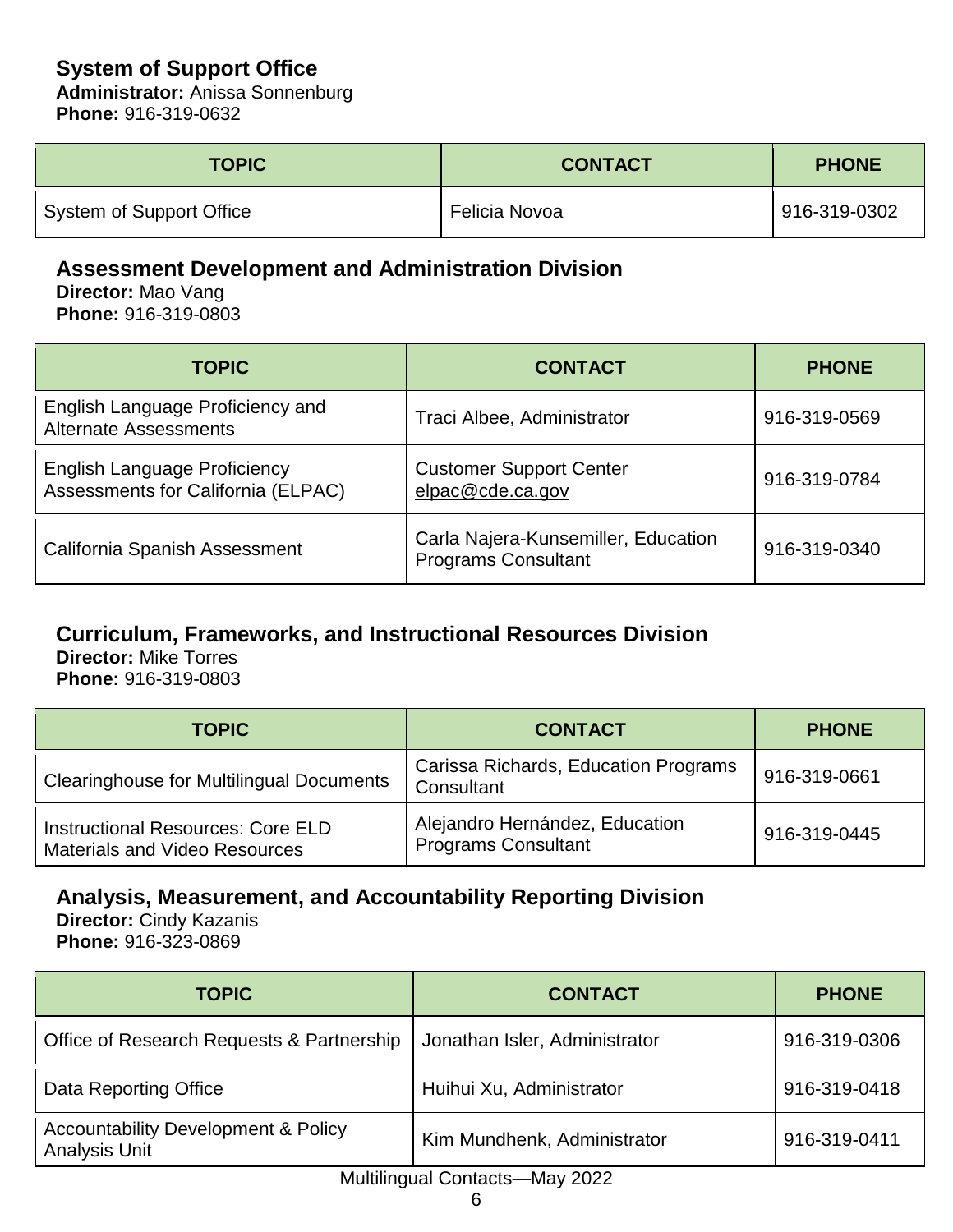# **System of Support Office**

**Administrator:** Anissa Sonnenburg **Phone:** 916-319-0632

| <b>TOPIC</b>             | <b>CONTACT</b> | <b>PHONE</b> |
|--------------------------|----------------|--------------|
| System of Support Office | Felicia Novoa  | 916-319-0302 |

## **Assessment Development and Administration Division**

**Director:** Mao Vang **Phone:** 916-319-0803

| <b>TOPIC</b>                                                              | <b>CONTACT</b>                                                    | <b>PHONE</b> |
|---------------------------------------------------------------------------|-------------------------------------------------------------------|--------------|
| English Language Proficiency and<br><b>Alternate Assessments</b>          | Traci Albee, Administrator                                        | 916-319-0569 |
| <b>English Language Proficiency</b><br>Assessments for California (ELPAC) | <b>Customer Support Center</b><br>elpac@cde.ca.gov                | 916-319-0784 |
| California Spanish Assessment                                             | Carla Najera-Kunsemiller, Education<br><b>Programs Consultant</b> | 916-319-0340 |

# **Curriculum, Frameworks, and Instructional Resources Division**

**Director:** Mike Torres **Phone:** 916-319-0803

| <b>TOPIC</b>                                                              | <b>CONTACT</b>                                               | <b>PHONE</b> |
|---------------------------------------------------------------------------|--------------------------------------------------------------|--------------|
| <b>Clearinghouse for Multilingual Documents</b>                           | Carissa Richards, Education Programs<br>Consultant           | 916-319-0661 |
| Instructional Resources: Core ELD<br><b>Materials and Video Resources</b> | Alejandro Hernández, Education<br><b>Programs Consultant</b> | 916-319-0445 |

# **Analysis, Measurement, and Accountability Reporting Division**

**Director:** Cindy Kazanis **Phone:** 916-323-0869

| <b>TOPIC</b>                                                           | <b>CONTACT</b>                | <b>PHONE</b> |
|------------------------------------------------------------------------|-------------------------------|--------------|
| Office of Research Requests & Partnership                              | Jonathan Isler, Administrator | 916-319-0306 |
| Data Reporting Office                                                  | Huihui Xu, Administrator      | 916-319-0418 |
| <b>Accountability Development &amp; Policy</b><br><b>Analysis Unit</b> | Kim Mundhenk, Administrator   | 916-319-0411 |